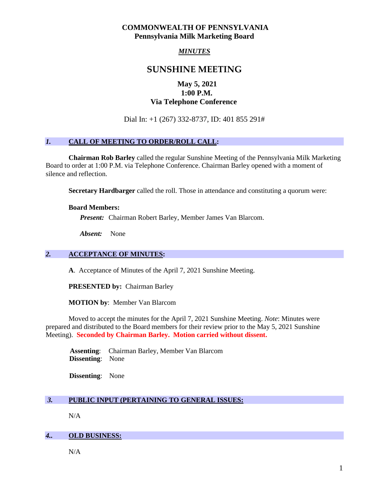# **COMMONWEALTH OF PENNSYLVANIA Pennsylvania Milk Marketing Board**

# *MINUTES*

# **SUNSHINE MEETING**

# **May 5, 2021 1:00 P.M. Via Telephone Conference**

Dial In: +1 (267) 332-8737, ID: 401 855 291#

## *1.* **CALL OF MEETING TO ORDER/ROLL CALL:**

**Chairman Rob Barley** called the regular Sunshine Meeting of the Pennsylvania Milk Marketing Board to order at 1:00 P.M. via Telephone Conference. Chairman Barley opened with a moment of silence and reflection.

**Secretary Hardbarger** called the roll. Those in attendance and constituting a quorum were:

#### **Board Members:**

*Present:* Chairman Robert Barley, Member James Van Blarcom.

*Absent:* None

# *2.* **ACCEPTANCE OF MINUTES:**

**A**. Acceptance of Minutes of the April 7, 2021 Sunshine Meeting.

**PRESENTED by:** Chairman Barley

**MOTION by**: Member Van Blarcom

Moved to accept the minutes for the April 7, 2021 Sunshine Meeting. *Note*: Minutes were prepared and distributed to the Board members for their review prior to the May 5, 2021 Sunshine Meeting). **Seconded by Chairman Barley. Motion carried without dissent.**

 **Assenting**: Chairman Barley, Member Van Blarcom **Dissenting**: None

 **Dissenting**: None

# *3.* **PUBLIC INPUT (PERTAINING TO GENERAL ISSUES:**

N/A

#### *4..* **OLD BUSINESS:**

N/A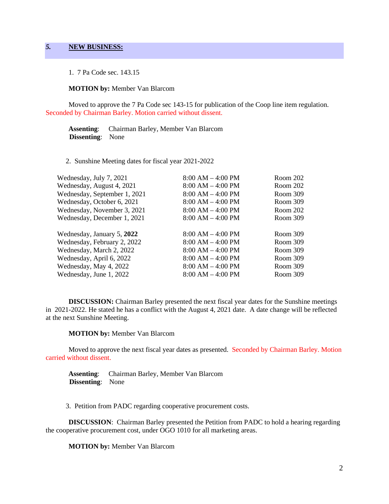1. 7 Pa Code sec. 143.15

#### **MOTION by:** Member Van Blarcom

Moved to approve the 7 Pa Code sec 143-15 for publication of the Coop line item regulation. Seconded by Chairman Barley. Motion carried without dissent.

 **Assenting**: Chairman Barley, Member Van Blarcom  **Dissenting**: None

2. Sunshine Meeting dates for fiscal year 2021-2022

| Wednesday, July 7, 2021      | $8:00 AM - 4:00 PM$ | Room 202 |
|------------------------------|---------------------|----------|
| Wednesday, August 4, 2021    | $8:00 AM - 4:00 PM$ | Room 202 |
| Wednesday, September 1, 2021 | $8:00 AM - 4:00 PM$ | Room 309 |
| Wednesday, October 6, 2021   | $8:00 AM - 4:00 PM$ | Room 309 |
| Wednesday, November 3, 2021  | $8:00 AM - 4:00 PM$ | Room 202 |
| Wednesday, December 1, 2021  | $8:00 AM - 4:00 PM$ | Room 309 |
| Wednesday, January 5, 2022   | $8:00 AM - 4:00 PM$ | Room 309 |
| Wednesday, February 2, 2022  | $8:00 AM - 4:00 PM$ | Room 309 |
| Wednesday, March 2, 2022     | $8:00 AM - 4:00 PM$ | Room 309 |
| Wednesday, April 6, 2022     | $8:00 AM - 4:00 PM$ | Room 309 |
| Wednesday, May 4, 2022       | $8:00 AM - 4:00 PM$ | Room 309 |
| Wednesday, June 1, 2022      | $8:00 AM - 4:00 PM$ | Room 309 |
|                              |                     |          |

**DISCUSSION:** Chairman Barley presented the next fiscal year dates for the Sunshine meetings in 2021-2022. He stated he has a conflict with the August 4, 2021 date. A date change will be reflected at the next Sunshine Meeting.

#### **MOTION by:** Member Van Blarcom

Moved to approve the next fiscal year dates as presented. Seconded by Chairman Barley. Motion carried without dissent.

 **Assenting**: Chairman Barley, Member Van Blarcom  **Dissenting**: None

3. Petition from PADC regarding cooperative procurement costs.

**DISCUSSION**: Chairman Barley presented the Petition from PADC to hold a hearing regarding the cooperative procurement cost, under OGO 1010 for all marketing areas.

**MOTION by:** Member Van Blarcom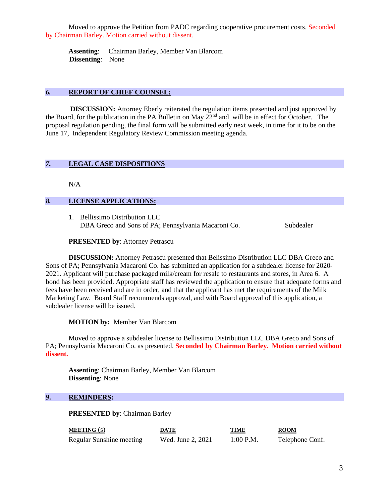Moved to approve the Petition from PADC regarding cooperative procurement costs. Seconded by Chairman Barley. Motion carried without dissent.

 **Assenting**: Chairman Barley, Member Van Blarcom  **Dissenting**: None

## *6.* **REPORT OF CHIEF COUNSEL:**

**DISCUSSION:** Attorney Eberly reiterated the regulation items presented and just approved by the Board, for the publication in the PA Bulletin on May 22nd and will be in effect for October. The proposal regulation pending, the final form will be submitted early next week, in time for it to be on the June 17, Independent Regulatory Review Commission meeting agenda.

#### *7.* **LEGAL CASE DISPOSITIONS**

N/A

#### *8.* **LICENSE APPLICATIONS:**

1. Bellissimo Distribution LLC DBA Greco and Sons of PA; Pennsylvania Macaroni Co. Subdealer

#### **PRESENTED by**: Attorney Petrascu

**DISCUSSION:** Attorney Petrascu presented that Belissimo Distribution LLC DBA Greco and Sons of PA; Pennsylvania Macaroni Co. has submitted an application for a subdealer license for 2020- 2021. Applicant will purchase packaged milk/cream for resale to restaurants and stores, in Area 6. A bond has been provided. Appropriate staff has reviewed the application to ensure that adequate forms and fees have been received and are in order, and that the applicant has met the requirements of the Milk Marketing Law. Board Staff recommends approval, and with Board approval of this application, a subdealer license will be issued.

#### **MOTION by:** Member Van Blarcom

Moved to approve a subdealer license to Bellissimo Distribution LLC DBA Greco and Sons of PA; Pennsylvania Macaroni Co. as presented. **Seconded by Chairman Barley. Motion carried without dissent.**

**Assenting**: Chairman Barley, Member Van Blarcom **Dissenting**: None

#### *9***. REMINDERS:**

**PRESENTED by**: Chairman Barley

| <b>MEETING</b> (s)       | DATE              | TIME        | <b>ROOM</b>     |
|--------------------------|-------------------|-------------|-----------------|
| Regular Sunshine meeting | Wed. June 2, 2021 | $1:00$ P.M. | Telephone Conf. |